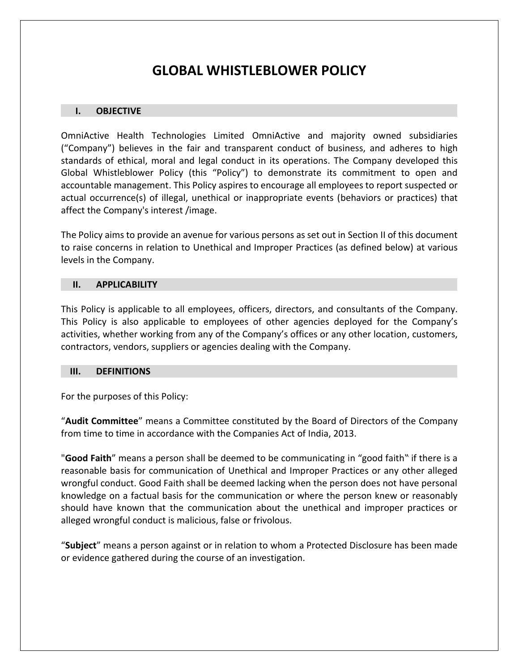# **GLOBAL WHISTLEBLOWER POLICY**

## **I. OBJECTIVE**

OmniActive Health Technologies Limited OmniActive and majority owned subsidiaries ("Company") believes in the fair and transparent conduct of business, and adheres to high standards of ethical, moral and legal conduct in its operations. The Company developed this Global Whistleblower Policy (this "Policy") to demonstrate its commitment to open and accountable management. This Policy aspires to encourage all employees to report suspected or actual occurrence(s) of illegal, unethical or inappropriate events (behaviors or practices) that affect the Company's interest /image.

The Policy aims to provide an avenue for various persons as set out in Section II of this document to raise concerns in relation to Unethical and Improper Practices (as defined below) at various levels in the Company.

## **II. APPLICABILITY**

This Policy is applicable to all employees, officers, directors, and consultants of the Company. This Policy is also applicable to employees of other agencies deployed for the Company's activities, whether working from any of the Company's offices or any other location, customers, contractors, vendors, suppliers or agencies dealing with the Company.

## **III. DEFINITIONS**

For the purposes of this Policy:

"**Audit Committee**" means a Committee constituted by the Board of Directors of the Company from time to time in accordance with the Companies Act of India, 2013.

"**Good Faith**" means a person shall be deemed to be communicating in "good faith" if there is a reasonable basis for communication of Unethical and Improper Practices or any other alleged wrongful conduct. Good Faith shall be deemed lacking when the person does not have personal knowledge on a factual basis for the communication or where the person knew or reasonably should have known that the communication about the unethical and improper practices or alleged wrongful conduct is malicious, false or frivolous.

"**Subject**" means a person against or in relation to whom a Protected Disclosure has been made or evidence gathered during the course of an investigation.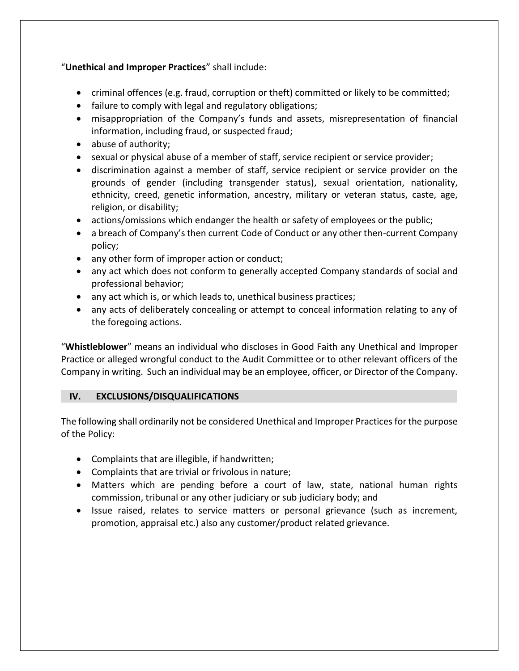# "**Unethical and Improper Practices**" shall include:

- criminal offences (e.g. fraud, corruption or theft) committed or likely to be committed;
- failure to comply with legal and regulatory obligations;
- misappropriation of the Company's funds and assets, misrepresentation of financial information, including fraud, or suspected fraud;
- abuse of authority;
- sexual or physical abuse of a member of staff, service recipient or service provider;
- discrimination against a member of staff, service recipient or service provider on the grounds of gender (including transgender status), sexual orientation, nationality, ethnicity, creed, genetic information, ancestry, military or veteran status, caste, age, religion, or disability;
- actions/omissions which endanger the health or safety of employees or the public;
- a breach of Company's then current Code of Conduct or any other then-current Company policy;
- any other form of improper action or conduct;
- any act which does not conform to generally accepted Company standards of social and professional behavior;
- any act which is, or which leads to, unethical business practices;
- any acts of deliberately concealing or attempt to conceal information relating to any of the foregoing actions.

"**Whistleblower**" means an individual who discloses in Good Faith any Unethical and Improper Practice or alleged wrongful conduct to the Audit Committee or to other relevant officers of the Company in writing. Such an individual may be an employee, officer, or Director of the Company.

# **IV. EXCLUSIONS/DISQUALIFICATIONS**

The following shall ordinarily not be considered Unethical and Improper Practices for the purpose of the Policy:

- Complaints that are illegible, if handwritten;
- Complaints that are trivial or frivolous in nature;
- Matters which are pending before a court of law, state, national human rights commission, tribunal or any other judiciary or sub judiciary body; and
- Issue raised, relates to service matters or personal grievance (such as increment, promotion, appraisal etc.) also any customer/product related grievance.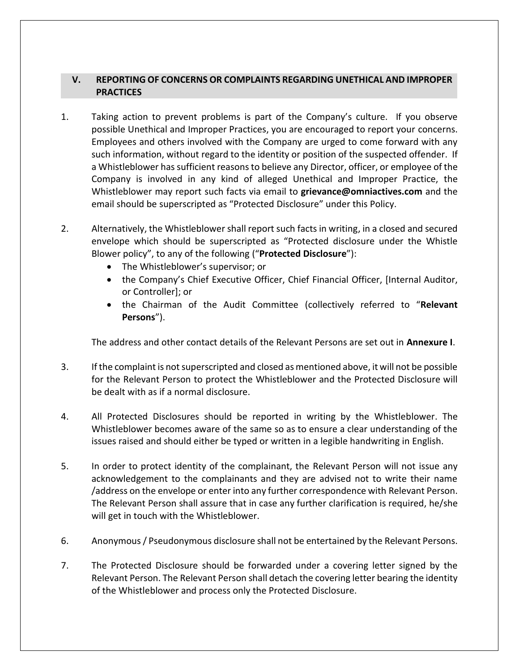# **V. REPORTING OF CONCERNS OR COMPLAINTS REGARDING UNETHICAL AND IMPROPER PRACTICES**

- 1. Taking action to prevent problems is part of the Company's culture. If you observe possible Unethical and Improper Practices, you are encouraged to report your concerns. Employees and others involved with the Company are urged to come forward with any such information, without regard to the identity or position of the suspected offender. If a Whistleblower has sufficient reasons to believe any Director, officer, or employee of the Company is involved in any kind of alleged Unethical and Improper Practice, the Whistleblower may report such facts via email to **grievance@omniactives.com** and the email should be superscripted as "Protected Disclosure" under this Policy.
- 2. Alternatively, the Whistleblower shall report such facts in writing, in a closed and secured envelope which should be superscripted as "Protected disclosure under the Whistle Blower policy", to any of the following ("**Protected Disclosure**"):
	- The Whistleblower's supervisor; or
	- the Company's Chief Executive Officer, Chief Financial Officer, [Internal Auditor, or Controller]; or
	- the Chairman of the Audit Committee (collectively referred to "**Relevant Persons**").

The address and other contact details of the Relevant Persons are set out in **Annexure I**.

- 3. If the complaint is not superscripted and closed as mentioned above, it will not be possible for the Relevant Person to protect the Whistleblower and the Protected Disclosure will be dealt with as if a normal disclosure.
- 4. All Protected Disclosures should be reported in writing by the Whistleblower. The Whistleblower becomes aware of the same so as to ensure a clear understanding of the issues raised and should either be typed or written in a legible handwriting in English.
- 5. In order to protect identity of the complainant, the Relevant Person will not issue any acknowledgement to the complainants and they are advised not to write their name /address on the envelope or enter into any further correspondence with Relevant Person. The Relevant Person shall assure that in case any further clarification is required, he/she will get in touch with the Whistleblower.
- 6. Anonymous / Pseudonymous disclosure shall not be entertained by the Relevant Persons.
- 7. The Protected Disclosure should be forwarded under a covering letter signed by the Relevant Person. The Relevant Person shall detach the covering letter bearing the identity of the Whistleblower and process only the Protected Disclosure.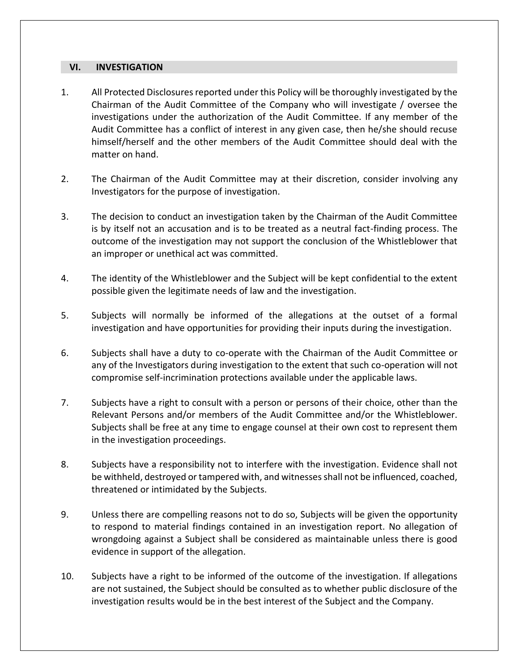## **VI. INVESTIGATION**

- 1. All Protected Disclosures reported under this Policy will be thoroughly investigated by the Chairman of the Audit Committee of the Company who will investigate / oversee the investigations under the authorization of the Audit Committee. If any member of the Audit Committee has a conflict of interest in any given case, then he/she should recuse himself/herself and the other members of the Audit Committee should deal with the matter on hand.
- 2. The Chairman of the Audit Committee may at their discretion, consider involving any Investigators for the purpose of investigation.
- 3. The decision to conduct an investigation taken by the Chairman of the Audit Committee is by itself not an accusation and is to be treated as a neutral fact-finding process. The outcome of the investigation may not support the conclusion of the Whistleblower that an improper or unethical act was committed.
- 4. The identity of the Whistleblower and the Subject will be kept confidential to the extent possible given the legitimate needs of law and the investigation.
- 5. Subjects will normally be informed of the allegations at the outset of a formal investigation and have opportunities for providing their inputs during the investigation.
- 6. Subjects shall have a duty to co-operate with the Chairman of the Audit Committee or any of the Investigators during investigation to the extent that such co-operation will not compromise self-incrimination protections available under the applicable laws.
- 7. Subjects have a right to consult with a person or persons of their choice, other than the Relevant Persons and/or members of the Audit Committee and/or the Whistleblower. Subjects shall be free at any time to engage counsel at their own cost to represent them in the investigation proceedings.
- 8. Subjects have a responsibility not to interfere with the investigation. Evidence shall not be withheld, destroyed or tampered with, and witnesses shall not be influenced, coached, threatened or intimidated by the Subjects.
- 9. Unless there are compelling reasons not to do so, Subjects will be given the opportunity to respond to material findings contained in an investigation report. No allegation of wrongdoing against a Subject shall be considered as maintainable unless there is good evidence in support of the allegation.
- 10. Subjects have a right to be informed of the outcome of the investigation. If allegations are not sustained, the Subject should be consulted as to whether public disclosure of the investigation results would be in the best interest of the Subject and the Company.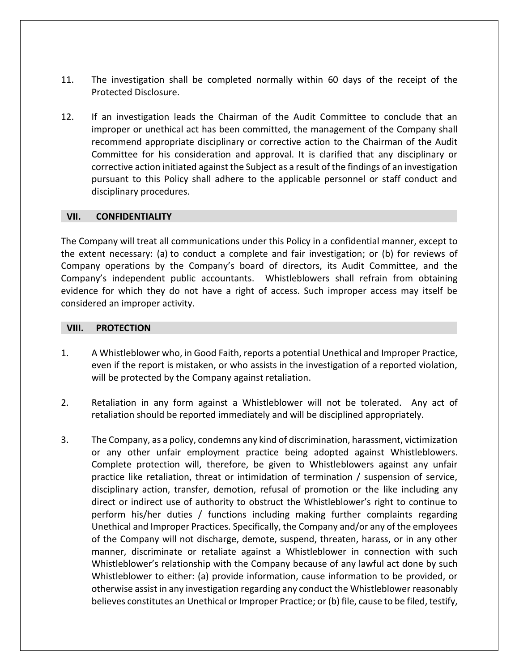- 11. The investigation shall be completed normally within 60 days of the receipt of the Protected Disclosure.
- 12. If an investigation leads the Chairman of the Audit Committee to conclude that an improper or unethical act has been committed, the management of the Company shall recommend appropriate disciplinary or corrective action to the Chairman of the Audit Committee for his consideration and approval. It is clarified that any disciplinary or corrective action initiated against the Subject as a result of the findings of an investigation pursuant to this Policy shall adhere to the applicable personnel or staff conduct and disciplinary procedures.

## **VII. CONFIDENTIALITY**

The Company will treat all communications under this Policy in a confidential manner, except to the extent necessary: (a) to conduct a complete and fair investigation; or (b) for reviews of Company operations by the Company's board of directors, its Audit Committee, and the Company's independent public accountants. Whistleblowers shall refrain from obtaining evidence for which they do not have a right of access. Such improper access may itself be considered an improper activity.

## **VIII. PROTECTION**

- 1. A Whistleblower who, in Good Faith, reports a potential Unethical and Improper Practice, even if the report is mistaken, or who assists in the investigation of a reported violation, will be protected by the Company against retaliation.
- 2. Retaliation in any form against a Whistleblower will not be tolerated. Any act of retaliation should be reported immediately and will be disciplined appropriately.
- 3. The Company, as a policy, condemns any kind of discrimination, harassment, victimization or any other unfair employment practice being adopted against Whistleblowers. Complete protection will, therefore, be given to Whistleblowers against any unfair practice like retaliation, threat or intimidation of termination / suspension of service, disciplinary action, transfer, demotion, refusal of promotion or the like including any direct or indirect use of authority to obstruct the Whistleblower's right to continue to perform his/her duties / functions including making further complaints regarding Unethical and Improper Practices. Specifically, the Company and/or any of the employees of the Company will not discharge, demote, suspend, threaten, harass, or in any other manner, discriminate or retaliate against a Whistleblower in connection with such Whistleblower's relationship with the Company because of any lawful act done by such Whistleblower to either: (a) provide information, cause information to be provided, or otherwise assist in any investigation regarding any conduct the Whistleblower reasonably believes constitutes an Unethical or Improper Practice; or (b) file, cause to be filed, testify,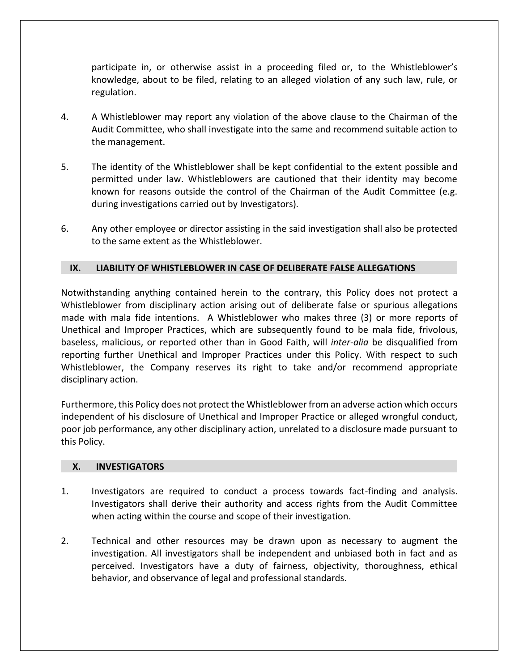participate in, or otherwise assist in a proceeding filed or, to the Whistleblower's knowledge, about to be filed, relating to an alleged violation of any such law, rule, or regulation.

- 4. A Whistleblower may report any violation of the above clause to the Chairman of the Audit Committee, who shall investigate into the same and recommend suitable action to the management.
- 5. The identity of the Whistleblower shall be kept confidential to the extent possible and permitted under law. Whistleblowers are cautioned that their identity may become known for reasons outside the control of the Chairman of the Audit Committee (e.g. during investigations carried out by Investigators).
- 6. Any other employee or director assisting in the said investigation shall also be protected to the same extent as the Whistleblower.

# **IX. LIABILITY OF WHISTLEBLOWER IN CASE OF DELIBERATE FALSE ALLEGATIONS**

Notwithstanding anything contained herein to the contrary, this Policy does not protect a Whistleblower from disciplinary action arising out of deliberate false or spurious allegations made with mala fide intentions. A Whistleblower who makes three (3) or more reports of Unethical and Improper Practices, which are subsequently found to be mala fide, frivolous, baseless, malicious, or reported other than in Good Faith, will *inter-alia* be disqualified from reporting further Unethical and Improper Practices under this Policy. With respect to such Whistleblower, the Company reserves its right to take and/or recommend appropriate disciplinary action.

Furthermore, this Policy does not protect the Whistleblower from an adverse action which occurs independent of his disclosure of Unethical and Improper Practice or alleged wrongful conduct, poor job performance, any other disciplinary action, unrelated to a disclosure made pursuant to this Policy.

# **X. INVESTIGATORS**

- 1. Investigators are required to conduct a process towards fact-finding and analysis. Investigators shall derive their authority and access rights from the Audit Committee when acting within the course and scope of their investigation.
- 2. Technical and other resources may be drawn upon as necessary to augment the investigation. All investigators shall be independent and unbiased both in fact and as perceived. Investigators have a duty of fairness, objectivity, thoroughness, ethical behavior, and observance of legal and professional standards.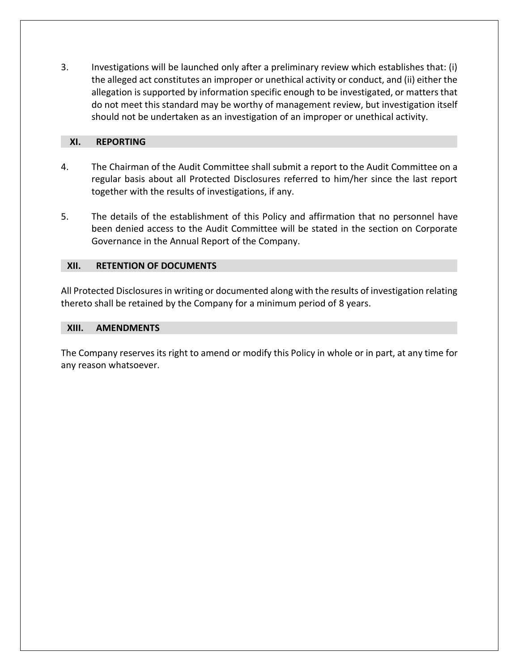3. Investigations will be launched only after a preliminary review which establishes that: (i) the alleged act constitutes an improper or unethical activity or conduct, and (ii) either the allegation is supported by information specific enough to be investigated, or matters that do not meet this standard may be worthy of management review, but investigation itself should not be undertaken as an investigation of an improper or unethical activity.

## **XI. REPORTING**

- 4. The Chairman of the Audit Committee shall submit a report to the Audit Committee on a regular basis about all Protected Disclosures referred to him/her since the last report together with the results of investigations, if any.
- 5. The details of the establishment of this Policy and affirmation that no personnel have been denied access to the Audit Committee will be stated in the section on Corporate Governance in the Annual Report of the Company.

# **XII. RETENTION OF DOCUMENTS**

All Protected Disclosures in writing or documented along with the results of investigation relating thereto shall be retained by the Company for a minimum period of 8 years.

## **XIII. AMENDMENTS**

The Company reserves its right to amend or modify this Policy in whole or in part, at any time for any reason whatsoever.